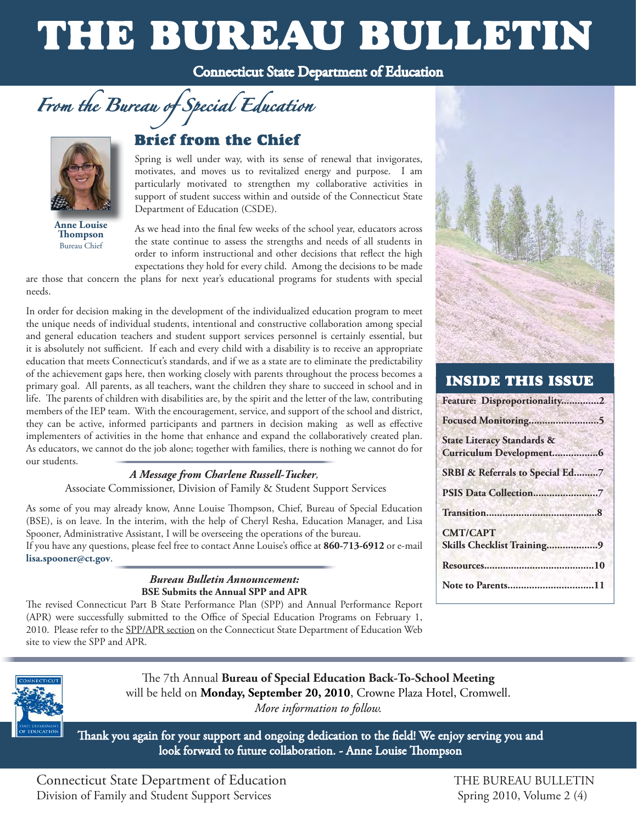# THE BUREAU BULLETIN





**Anne Louise** 

**From the Bureau of Special Education**<br> **Brief from the Chief**<br>
Special Education<br>
Special Education<br>
Spring is well under way, with its sense of renewal that invigorates,<br>
motivates, and moves us to revitalized energy and Spring is well under way, with its sense of renewal that invigorates, motivates, and moves us to revitalized energy and purpose. I am particularly motivated to strengthen my collaborative activities in support of student success within and outside of the Connecticut State Department of Education (CSDE).

**Thompson** the state continue to assess the strengths and needs of all students in Bureau Chief order to inform instructional and other decisions that reflect the high expectations they hold for every child. Among the decisions to be made

are those that concern the plans for next year's educational programs for students with special needs.

 it is absolutely not sufficient. If each and every child with a disability is to receive an appropriate In order for decision making in the development of the individualized education program to meet the unique needs of individual students, intentional and constructive collaboration among special and general education teachers and student support services personnel is certainly essential, but education that meets Connecticut's standards, and if we as a state are to eliminate the predictability of the achievement gaps here, then working closely with parents throughout the process becomes a primary goal. All parents, as all teachers, want the children they share to succeed in school and in life. The parents of children with disabilities are, by the spirit and the letter of the law, contributing members of the IEP team. With the encouragement, service, and support of the school and district, they can be active, informed participants and partners in decision making as well as effective implementers of activities in the home that enhance and expand the collaboratively created plan. As educators, we cannot do the job alone; together with families, there is nothing we cannot do for our students.

#### *A Message from Charlene Russell-Tucker,*

Associate Commissioner, Division of Family & Student Support Services

Spooner, Administrative Assistant, I will be overseeing the operations of the bureau. As some of you may already know, Anne Louise Thompson, Chief, Bureau of Special Education (BSE), is on leave. In the interim, with the help of Cheryl Resha, Education Manager, and Lisa If you have any questions, please feel free to contact Anne Louise's office at 860-713-6912 or e-mail **lisa.spooner@ct.gov**.

#### *Bureau Bulletin Announcement:*  **BSE Submits the Annual SPP and APR**

 (APR) were successfully submitted to the Office of Special Education Programs on February 1, The revised Connecticut Part B State Performance Plan (SPP) and Annual Performance Report 2010. Please refer to the [SPP/APR section](http://www.sde.ct.gov/sde/cwp/view.asp?a=2626&q=322094) on the Connecticut State Department of Education Web site to view the SPP and APR.



#### **INSIDE THIS ISSUE**

| Feature: Disproportionality2          |
|---------------------------------------|
|                                       |
| <b>State Literacy Standards &amp;</b> |
| SRBI & Referrals to Special Ed7       |
|                                       |
|                                       |
| <b>CMT/CAPT</b>                       |
| Skills Checklist Training9            |
|                                       |
| Note to Parents11                     |



The 7th Annual **Bureau of Special Education Back-To-School Meeting** will be held on **Monday, September 20, 2010**, Crowne Plaza Hotel, Cromwell. *More information to follow.* 

Thank you again for your support and ongoing dedication to the field! We enjoy serving you and look forward to future collaboration. - Anne Louise Thompson

Connecticut State Department of Education THE BUREAU BULLETIN Division of Family and Student Support Services Spring 2010, Volume 2 (4)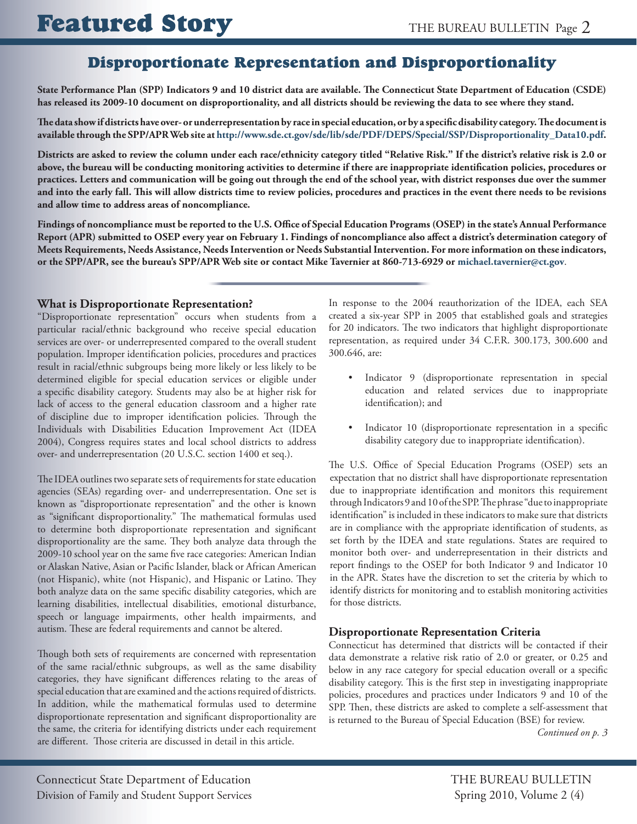## Disproportionate Representation and Disproportionality

**State Performance Plan (SPP) Indicators 9 and 10 district data are available. The Connecticut State Department of Education (CSDE) has released its 2009-10 document on disproportionality, and all districts should be reviewing the data to see where they stand.** 

**The data show if districts have over- or underrepresentation by race in special education, or by a specific disability category. The document is available through the SPP/APR Web site at [http://www.sde.ct.gov/sde/lib/sde/PDF/DEPS/Special/SSP/Disproportionality\\_Data10.pdf.](http://www.sde.ct.gov/sde/lib/sde/PDF/DEPS/Special/SSP/Disproportionality_Data10.pdf)** 

**Districts are asked to review the column under each race/ethnicity category titled "Relative Risk." If the district's relative risk is 2.0 or above, the bureau will be conducting monitoring activities to determine if there are inappropriate identification policies, procedures or practices. Letters and communication will be going out through the end of the school year, with district responses due over the summer and into the early fall. This will allow districts time to review policies, procedures and practices in the event there needs to be revisions and allow time to address areas of noncompliance.** 

 **Findings of noncompliance must be reported to the U.S. Office of Special Education Programs (OSEP) in the state's Annual Performance Report (APR) submitted to OSEP every year on February 1. Findings of noncompliance also affect a district's determination category of Meets Requirements, Needs Assistance, Needs Intervention or Needs Substantial Intervention. For more information on these indicators, or the SPP/APR, see the bureau's SPP/APR Web site or contact Mike Tavernier at 860-713-6929 or [michael.tavernier@ct.gov](mailto:michael.tavernier@ct.gov)**.

#### **What is Disproportionate Representation?**

"Disproportionate representation" occurs when students from a particular racial/ethnic background who receive special education services are over- or underrepresented compared to the overall student population. Improper identification policies, procedures and practices result in racial/ethnic subgroups being more likely or less likely to be determined eligible for special education services or eligible under a specific disability category. Students may also be at higher risk for lack of access to the general education classroom and a higher rate of discipline due to improper identification policies. Through the Individuals with Disabilities Education Improvement Act (IDEA 2004), Congress requires states and local school districts to address over- and underrepresentation (20 U.S.C. section 1400 et seq.).

The IDEA outlines two separate sets of requirements for state education agencies (SEAs) regarding over- and underrepresentation. One set is known as "disproportionate representation" and the other is known as "significant disproportionality." The mathematical formulas used to determine both disproportionate representation and significant disproportionality are the same. They both analyze data through the 2009-10 school year on the same five race categories: American Indian or Alaskan Native, Asian or Pacific Islander, black or African American (not Hispanic), white (not Hispanic), and Hispanic or Latino. They both analyze data on the same specific disability categories, which are learning disabilities, intellectual disabilities, emotional disturbance, speech or language impairments, other health impairments, and autism. These are federal requirements and cannot be altered.

 are different. Those criteria are discussed in detail in this article. Though both sets of requirements are concerned with representation of the same racial/ethnic subgroups, as well as the same disability categories, they have significant differences relating to the areas of special education that are examined and the actions required of districts. In addition, while the mathematical formulas used to determine disproportionate representation and significant disproportionality are the same, the criteria for identifying districts under each requirement In response to the 2004 reauthorization of the IDEA, each SEA created a six-year SPP in 2005 that established goals and strategies for 20 indicators. The two indicators that highlight disproportionate representation, as required under 34 C.F.R. 300.173, 300.600 and 300.646, are:

- Indicator 9 (disproportionate representation in special education and related services due to inappropriate identification); and
- Indicator 10 (disproportionate representation in a specific disability category due to inappropriate identification).

 The U.S. Office of Special Education Programs (OSEP) sets an expectation that no district shall have disproportionate representation due to inappropriate identification and monitors this requirement through Indicators 9 and 10 of the SPP. The phrase "due to inappropriate identification" is included in these indicators to make sure that districts are in compliance with the appropriate identification of students, as set forth by the IDEA and state regulations. States are required to monitor both over- and underrepresentation in their districts and report findings to the OSEP for both Indicator 9 and Indicator 10 in the APR. States have the discretion to set the criteria by which to identify districts for monitoring and to establish monitoring activities for those districts.

#### **Disproportionate Representation Criteria**

 disability category. This is the first step in investigating inappropriate Connecticut has determined that districts will be contacted if their data demonstrate a relative risk ratio of 2.0 or greater, or 0.25 and below in any race category for special education overall or a specific policies, procedures and practices under Indicators 9 and 10 of the SPP. Then, these districts are asked to complete a self-assessment that is returned to the Bureau of Special Education (BSE) for review.

*Continued on p. 3*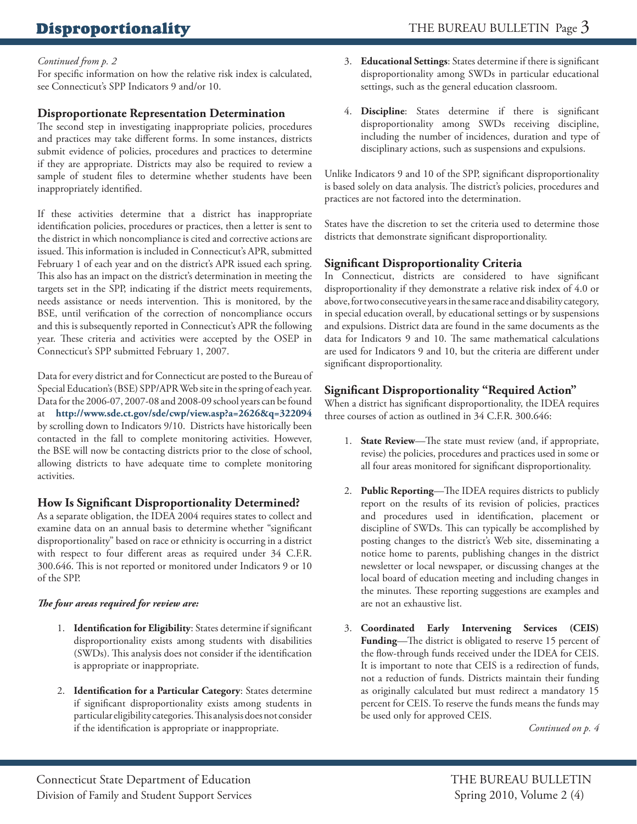## **Disproportionality**

#### *Continued from p. 2*

For specific information on how the relative risk index is calculated, see Connecticut's SPP Indicators 9 and/or 10.

#### **Disproportionate Representation Determination**

The second step in investigating inappropriate policies, procedures and practices may take different forms. In some instances, districts submit evidence of policies, procedures and practices to determine if they are appropriate. Districts may also be required to review a sample of student files to determine whether students have been inappropriately identified.

If these activities determine that a district has inappropriate identification policies, procedures or practices, then a letter is sent to the district in which noncompliance is cited and corrective actions are issued. This information is included in Connecticut's APR, submitted February 1 of each year and on the district's APR issued each spring. This also has an impact on the district's determination in meeting the targets set in the SPP, indicating if the district meets requirements, needs assistance or needs intervention. This is monitored, by the BSE, until verification of the correction of noncompliance occurs and this is subsequently reported in Connecticut's APR the following year. These criteria and activities were accepted by the OSEP in Connecticut's SPP submitted February 1, 2007.

Data for every district and for Connecticut are posted to the Bureau of Special Education's (BSE) SPP/APR Web site in the spring of each year. Data for the 2006-07, 2007-08 and 2008-09 school years can be found at **http://www.sde.ct.gov/sde/cwp/view.asp?a=2626&q=322094**  by scrolling down to Indicators 9/10. Districts have historically been contacted in the fall to complete monitoring activities. However, the BSE will now be contacting districts prior to the close of school, allowing districts to have adequate time to complete monitoring activities.

#### **How Is Significant Disproportionality Determined?**

As a separate obligation, the IDEA 2004 requires states to collect and examine data on an annual basis to determine whether "significant disproportionality" based on race or ethnicity is occurring in a district with respect to four different areas as required under 34 C.F.R. 300.646. This is not reported or monitored under Indicators 9 or 10 of the SPP.

#### *The four areas required for review are:*

- 1. **Identification for Eligibility**: States determine if significant disproportionality exists among students with disabilities (SWDs). This analysis does not consider if the identification is appropriate or inappropriate.
- 2. **Identification for a Particular Category**: States determine if significant disproportionality exists among students in particular eligibility categories. This analysis does not consider if the identification is appropriate or inappropriate.
- 3. **Educational Settings**: States determine if there is significant disproportionality among SWDs in particular educational settings, such as the general education classroom.
- 4. **Discipline**: States determine if there is significant disproportionality among SWDs receiving discipline, including the number of incidences, duration and type of disciplinary actions, such as suspensions and expulsions.

Unlike Indicators 9 and 10 of the SPP, significant disproportionality is based solely on data analysis. The district's policies, procedures and practices are not factored into the determination.

States have the discretion to set the criteria used to determine those districts that demonstrate significant disproportionality.

#### **Significant Disproportionality Criteria**

In Connecticut, districts are considered to have significant disproportionality if they demonstrate a relative risk index of 4.0 or above, for two consecutive years in the same race and disability category, in special education overall, by educational settings or by suspensions and expulsions. District data are found in the same documents as the data for Indicators 9 and 10. The same mathematical calculations are used for Indicators 9 and 10, but the criteria are different under significant disproportionality.

#### **Significant Disproportionality "Required Action"**

When a district has significant disproportionality, the IDEA requires three courses of action as outlined in 34 C.F.R. 300.646:

- 1. **State Review**—The state must review (and, if appropriate, revise) the policies, procedures and practices used in some or all four areas monitored for significant disproportionality.
- 2. **Public Reporting**—The IDEA requires districts to publicly report on the results of its revision of policies, practices and procedures used in identification, placement or discipline of SWDs. This can typically be accomplished by posting changes to the district's Web site, disseminating a notice home to parents, publishing changes in the district newsletter or local newspaper, or discussing changes at the local board of education meeting and including changes in the minutes. These reporting suggestions are examples and are not an exhaustive list.
- 3. **Coordinated Early Intervening Services (CEIS) Funding**—The district is obligated to reserve 15 percent of the flow-through funds received under the IDEA for CEIS. It is important to note that CEIS is a redirection of funds, not a reduction of funds. Districts maintain their funding as originally calculated but must redirect a mandatory 15 percent for CEIS. To reserve the funds means the funds may be used only for approved CEIS.

*Continued on p. 4*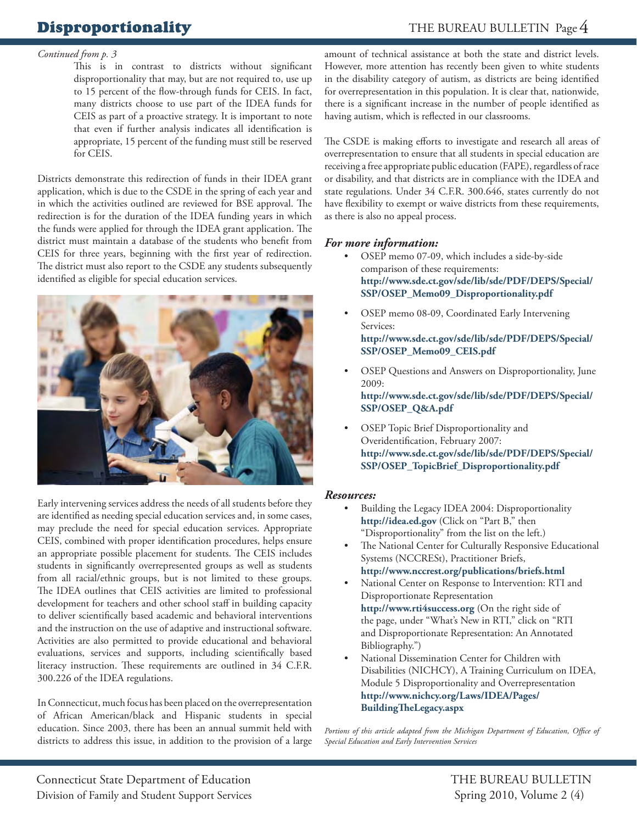## **Disproportionality**

#### *Continued from p. 3*

This is in contrast to districts without significant disproportionality that may, but are not required to, use up to 15 percent of the flow-through funds for CEIS. In fact, many districts choose to use part of the IDEA funds for CEIS as part of a proactive strategy. It is important to note that even if further analysis indicates all identification is appropriate, 15 percent of the funding must still be reserved for CEIS.

Districts demonstrate this redirection of funds in their IDEA grant application, which is due to the CSDE in the spring of each year and in which the activities outlined are reviewed for BSE approval. The redirection is for the duration of the IDEA funding years in which the funds were applied for through the IDEA grant application. The district must maintain a database of the students who benefit from CEIS for three years, beginning with the first year of redirection. The district must also report to the CSDE any students subsequently identified as eligible for special education services.



Early intervening services address the needs of all students before they are identified as needing special education services and, in some cases, may preclude the need for special education services. Appropriate CEIS, combined with proper identification procedures, helps ensure an appropriate possible placement for students. The CEIS includes students in significantly overrepresented groups as well as students from all racial/ethnic groups, but is not limited to these groups. The IDEA outlines that CEIS activities are limited to professional development for teachers and other school staff in building capacity to deliver scientifically based academic and behavioral interventions and the instruction on the use of adaptive and instructional software. Activities are also permitted to provide educational and behavioral evaluations, services and supports, including scientifically based literacy instruction. These requirements are outlined in 34 C.F.R. 300.226 of the IDEA regulations.

In Connecticut, much focus has been placed on the overrepresentation of African American/black and Hispanic students in special education. Since 2003, there has been an annual summit held with districts to address this issue, in addition to the provision of a large amount of technical assistance at both the state and district levels. However, more attention has recently been given to white students in the disability category of autism, as districts are being identified for overrepresentation in this population. It is clear that, nationwide, there is a significant increase in the number of people identified as having autism, which is reflected in our classrooms.

The CSDE is making efforts to investigate and research all areas of overrepresentation to ensure that all students in special education are receiving a free appropriate public education (FAPE), regardless of race or disability, and that districts are in compliance with the IDEA and state regulations. Under 34 C.F.R. 300.646, states currently do not have flexibility to exempt or waive districts from these requirements, as there is also no appeal process.

#### *For more information:*

- OSEP memo 07-09, which includes a side-by-side comparison of these requirements: **[http://www.sde.ct.gov/sde/lib/sde/PDF/DEPS/Special/](http://www.sde.ct.gov/sde/lib/sde/PDF/DEPS/Special/SSP/OSEP_Memo09_Disproportionality.pdf) SSP/OSEP\_Memo09\_Disproportionality.pdf**
- OSEP memo 08-09, Coordinated Early Intervening Services: **[http://www.sde.ct.gov/sde/lib/sde/PDF/DEPS/Special/](http://www.sde.ct.gov/sde/lib/sde/PDF/DEPS/Special/SSP/OSEP_Memo09_CEIS.pdf) SSP/OSEP\_Memo09\_CEIS.pdf**
- OSEP Questions and Answers on Disproportionality, June 2009: **[http://www.sde.ct.gov/sde/lib/sde/PDF/DEPS/Special/](http://www.sde.ct.gov/sde/lib/sde/PDF/DEPS/Special/SSP/OSEP_Q&A.pdf) SSP/OSEP\_Q&A.pdf**
- OSEP Topic Brief Disproportionality and Overidentification, February 2007: **[http://www.sde.ct.gov/sde/lib/sde/PDF/DEPS/Special/](http://www.sde.ct.gov/sde/lib/sde/PDF/DEPS/Special/SSP/OSEP_TopicBrief_Disproportionality.pdf) SSP/OSEP\_TopicBrief\_Disproportionality.pdf**

#### *Resources:*

- Building the Legacy IDEA 2004: Disproportionality **<http://idea.ed.gov>** (Click on "Part B," then "Disproportionality" from the list on the left.)
- The National Center for Culturally Responsive Educational Systems (NCCRESt), Practitioner Briefs, **<http://www.nccrest.org/publications/briefs.html>**
- National Center on Response to Intervention: RTI and Disproportionate Representation **<http://www.rti4success.org>** (On the right side of the page, under "What's New in RTI," click on "RTI and Disproportionate Representation: An Annotated Bibliography.")
- National Dissemination Center for Children with Disabilities (NICHCY), A Training Curriculum on IDEA, Module 5 Disproportionality and Overrepresentation **[http://www.nichcy.org/Laws/IDEA/Pages/](http://www.nichcy.org/Laws/IDEA/Pages/BuildingTheLegacy.aspx)  BuildingTh eLegacy.aspx**

Portions of this article adapted from the Michigan Department of Education, Office of *Special Education and Early Intervention Services*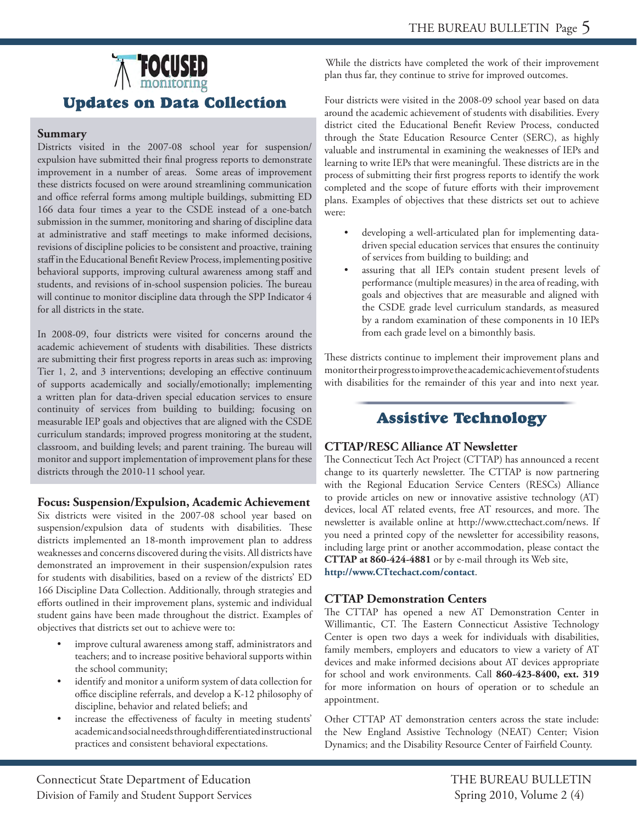

#### **Summary**

 and office referral forms among multiple buildings, submitting ED behavioral supports, improving cultural awareness among staff and Districts visited in the 2007-08 school year for suspension/ expulsion have submitted their final progress reports to demonstrate improvement in a number of areas. Some areas of improvement these districts focused on were around streamlining communication 166 data four times a year to the CSDE instead of a one-batch submission in the summer, monitoring and sharing of discipline data at administrative and staff meetings to make informed decisions, revisions of discipline policies to be consistent and proactive, training staff in the Educational Benefit Review Process, implementing positive students, and revisions of in-school suspension policies. The bureau will continue to monitor discipline data through the SPP Indicator 4 for all districts in the state.

In 2008-09, four districts were visited for concerns around the academic achievement of students with disabilities. These districts are submitting their first progress reports in areas such as: improving Tier 1, 2, and 3 interventions; developing an effective continuum of supports academically and socially/emotionally; implementing a written plan for data-driven special education services to ensure continuity of services from building to building; focusing on measurable IEP goals and objectives that are aligned with the CSDE curriculum standards; improved progress monitoring at the student, classroom, and building levels; and parent training. The bureau will monitor and support implementation of improvement plans for these districts through the 2010-11 school year.

#### **Focus: Suspension/Expulsion, Academic Achievement**

Six districts were visited in the 2007-08 school year based on suspension/expulsion data of students with disabilities. These districts implemented an 18-month improvement plan to address weaknesses and concerns discovered during the visits. All districts have demonstrated an improvement in their suspension/expulsion rates for students with disabilities, based on a review of the districts' ED 166 Discipline Data Collection. Additionally, through strategies and efforts outlined in their improvement plans, systemic and individual student gains have been made throughout the district. Examples of objectives that districts set out to achieve were to:

- improve cultural awareness among staff, administrators and teachers; and to increase positive behavioral supports within the school community;
- office discipline referrals, and develop a K-12 philosophy of identify and monitor a uniform system of data collection for discipline, behavior and related beliefs; and
- increase the effectiveness of faculty in meeting students' academic and social needs through differentiated instructional practices and consistent behavioral expectations.

While the districts have completed the work of their improvement plan thus far, they continue to strive for improved outcomes.

Four districts were visited in the 2008-09 school year based on data around the academic achievement of students with disabilities. Every district cited the Educational Benefit Review Process, conducted through the State Education Resource Center (SERC), as highly valuable and instrumental in examining the weaknesses of IEPs and learning to write IEPs that were meaningful. These districts are in the process of submitting their first progress reports to identify the work completed and the scope of future efforts with their improvement plans. Examples of objectives that these districts set out to achieve were:

- developing a well-articulated plan for implementing datadriven special education services that ensures the continuity of services from building to building; and
- assuring that all IEPs contain student present levels of performance (multiple measures) in the area of reading, with goals and objectives that are measurable and aligned with the CSDE grade level curriculum standards, as measured by a random examination of these components in 10 IEPs from each grade level on a bimonthly basis.

These districts continue to implement their improvement plans and monitor their progress to improve the academic achievement of students with disabilities for the remainder of this year and into next year.

## **Assistive Technology**

#### **CTTAP/RESC Alliance AT Newsletter**

The Connecticut Tech Act Project (CTTAP) has announced a recent change to its quarterly newsletter. The CTTAP is now partnering with the Regional Education Service Centers (RESCs) Alliance to provide articles on new or innovative assistive technology (AT) devices, local AT related events, free AT resources, and more. The newsletter is available online at http://www.cttechact.com/news. If you need a printed copy of the newsletter for accessibility reasons, including large print or another accommodation, please contact the **CTTAP at 860-424-4881** or by e-mail through its Web site, **http://www.CTtechact.com/contact**.

#### **CTTAP Demonstration Centers**

The CTTAP has opened a new AT Demonstration Center in Willimantic, CT. The Eastern Connecticut Assistive Technology Center is open two days a week for individuals with disabilities, family members, employers and educators to view a variety of AT devices and make informed decisions about AT devices appropriate for school and work environments. Call **860-423-8400, ext. 319**  for more information on hours of operation or to schedule an appointment.

Other CTTAP AT demonstration centers across the state include: the New England Assistive Technology (NEAT) Center; Vision Dynamics; and the Disability Resource Center of Fairfield County.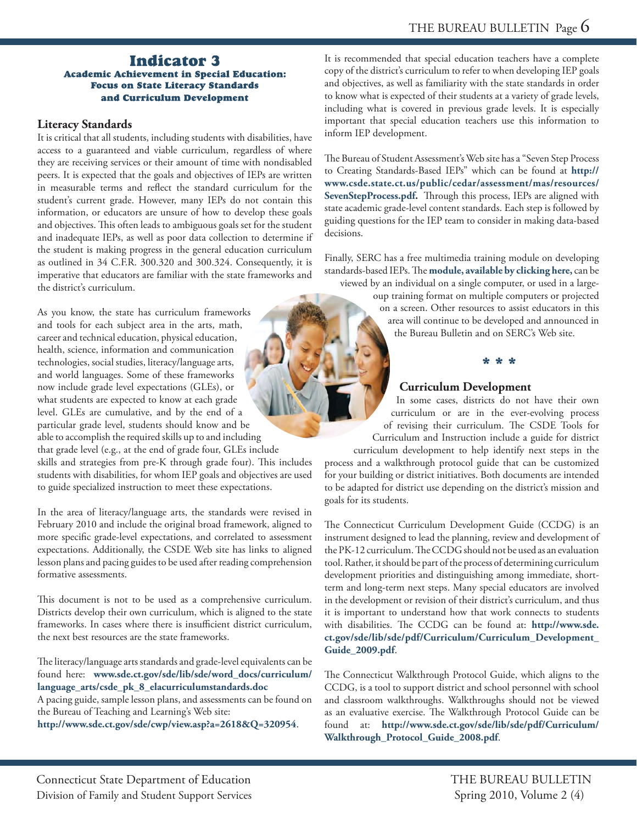#### **Indicator 3 Academic Achievement in Special Education: Focus on State Literacy Standards** and Curriculum Development

#### **Literacy Standards**

It is critical that all students, including students with disabilities, have access to a guaranteed and viable curriculum, regardless of where they are receiving services or their amount of time with nondisabled peers. It is expected that the goals and objectives of IEPs are written in measurable terms and reflect the standard curriculum for the student's current grade. However, many IEPs do not contain this information, or educators are unsure of how to develop these goals and objectives. This often leads to ambiguous goals set for the student and inadequate IEPs, as well as poor data collection to determine if the student is making progress in the general education curriculum as outlined in 34 C.F.R. 300.320 and 300.324. Consequently, it is imperative that educators are familiar with the state frameworks and the district's curriculum.

As you know, the state has curriculum frameworks and tools for each subject area in the arts, math, career and technical education, physical education, health, science, information and communication technologies, social studies, literacy/language arts, and world languages. Some of these frameworks now include grade level expectations (GLEs), or what students are expected to know at each grade level. GLEs are cumulative, and by the end of a particular grade level, students should know and be able to accomplish the required skills up to and including that grade level (e.g., at the end of grade four, GLEs include skills and strategies from pre-K through grade four). This includes students with disabilities, for whom IEP goals and objectives are used to guide specialized instruction to meet these expectations.

In the area of literacy/language arts, the standards were revised in February 2010 and include the original broad framework, aligned to more specific grade-level expectations, and correlated to assessment expectations. Additionally, the CSDE Web site has links to aligned lesson plans and pacing guides to be used after reading comprehension formative assessments.

This document is not to be used as a comprehensive curriculum. Districts develop their own curriculum, which is aligned to the state frameworks. In cases where there is insufficient district curriculum, the next best resources are the state frameworks.

The literacy/language arts standards and grade-level equivalents can be found here: **www.sde.ct.gov/sde/lib/sde/word\_docs/curriculum/ [language\\_arts/csde\\_pk\\_8\\_elacurriculumstandards.doc](www.sde.ct.gov/sde/lib/sde/word_docs/curriculum/language_arts/csde_pk_8_elacurriculumstandards.doc)** 

A pacing guide, sample lesson plans, and assessments can be found on the Bureau of Teaching and Learning's Web site: **<http://www.sde.ct.gov/sde/cwp/view.asp?a=2618&Q=320954>**.

It is recommended that special education teachers have a complete copy of the district's curriculum to refer to when developing IEP goals and objectives, as well as familiarity with the state standards in order to know what is expected of their students at a variety of grade levels, including what is covered in previous grade levels. It is especially important that special education teachers use this information to inform IEP development.

The Bureau of Student Assessment's Web site has a "Seven Step Process to Creating Standards-Based IEPs" which can be found at **[http://](http://www.csde.state.ct.us/public/cedar/assessment/mas/resources/)  [www.csde.state.ct.us/public/cedar/assessment/mas/resources](www.csde.state.ct.us/public/cedar/assessment/mas/resources/SevenStepProcess.pdf)[/](http://www.csde.state.ct.us/public/cedar/assessment/mas/resources/)  SevenStepProcess.pdf.** Through this process, IEPs are aligned with state academic grade-level content standards. Each step is followed by guiding questions for the IEP team to consider in making data-based decisions.

Finally, SERC has a free multimedia training module on developing standards-based IEPs. The **module, available by clicking here**, can be viewed by an individual on a single computer, or used in a large-

oup training format on multiple computers or projected on a screen. Other resources to assist educators in this area will continue to be developed and announced in the Bureau Bulletin and on SERC's Web site.

\* \* \*

#### **Curriculum Development**

In some cases, districts do not have their own curriculum or are in the ever-evolving process of revising their curriculum. The CSDE Tools for Curriculum and Instruction include a guide for district curriculum development to help identify next steps in the process and a walkthrough protocol guide that can be customized for your building or district initiatives. Both documents are intended to be adapted for district use depending on the district's mission and goals for its students.

The Connecticut Curriculum Development Guide (CCDG) is an instrument designed to lead the planning, review and development of the PK-12 curriculum. The CCDG should not be used as an evaluation tool. Rather, it should be part of the process of determining curriculum development priorities and distinguishing among immediate, shortterm and long-term next steps. Many special educators are involved in the development or revision of their district's curriculum, and thus it is important to understand how that work connects to students with disabilities. The CCDG can be found at: **http://www.sde. [ct.gov/sde/lib/sde/pdf/Curriculum/Curriculum\\_Development\\_](http://www.sde.ct.gov/sde/lib/sde/pdf/Curriculum/Curriculum_Development_Guide_2009.pdf) Guide\_2009.pdf**.

The Connecticut Walkthrough Protocol Guide, which aligns to the CCDG, is a tool to support district and school personnel with school and classroom walkthroughs. Walkthroughs should not be viewed as an evaluative exercise. The Walkthrough Protocol Guide can be found at: **[http://www.sde.ct.gov/sde/lib/sde/pdf/Curriculum/](http://www.sde.ct.gov/sde/lib/sde/pdf/Curriculum/Walkthrough_Protocol_Guide_2008.pdf) Walkthrough\_Protocol\_Guide\_2008.pdf**.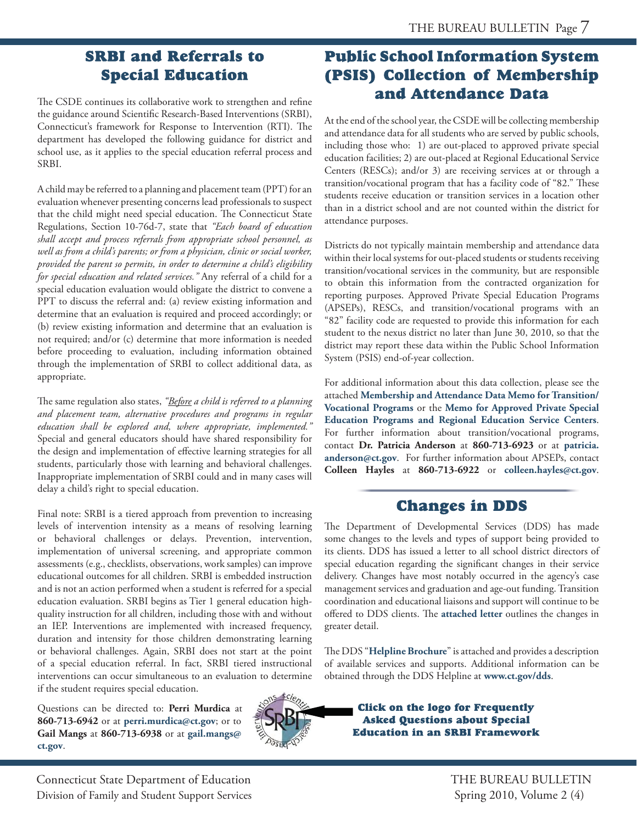## **SRBI** and Referrals to **Special Education**

The CSDE continues its collaborative work to strengthen and refine the guidance around Scientific Research-Based Interventions (SRBI), Connecticut's framework for Response to Intervention (RTI). The department has developed the following guidance for district and school use, as it applies to the special education referral process and SRBI.

A child may be referred to a planning and placement team (PPT) for an evaluation whenever presenting concerns lead professionals to suspect that the child might need special education. The Connecticut State Regulations, Section 10-76d-7, state that *"Each board of education shall accept and process referrals from appropriate school personnel, as well as from a child's parents; or from a physician, clinic or social worker, provided the parent so permits, in order to determine a child's eligibility for special education and related services."* Any referral of a child for a special education evaluation would obligate the district to convene a PPT to discuss the referral and: (a) review existing information and determine that an evaluation is required and proceed accordingly; or (b) review existing information and determine that an evaluation is not required; and/or (c) determine that more information is needed before proceeding to evaluation, including information obtained through the implementation of SRBI to collect additional data, as appropriate.

The same regulation also states, *"Before a child is referred to a planning and placement team, alternative procedures and programs in regular education shall be explored and, where appropriate, implemented."*  Special and general educators should have shared responsibility for the design and implementation of effective learning strategies for all students, particularly those with learning and behavioral challenges. Inappropriate implementation of SRBI could and in many cases will delay a child's right to special education.

Final note: SRBI is a tiered approach from prevention to increasing levels of intervention intensity as a means of resolving learning or behavioral challenges or delays. Prevention, intervention, implementation of universal screening, and appropriate common assessments (e.g., checklists, observations, work samples) can improve educational outcomes for all children. SRBI is embedded instruction and is not an action performed when a student is referred for a special education evaluation. SRBI begins as Tier 1 general education highquality instruction for all children, including those with and without an IEP. Interventions are implemented with increased frequency, duration and intensity for those children demonstrating learning or behavioral challenges. Again, SRBI does not start at the point of a special education referral. In fact, SRBI tiered instructional interventions can occur simultaneous to an evaluation to determine if the student requires special education.

Questions can be directed to: **Perri Murdica** at **860-713-6942** or at **[perri.murdica@ct.gov](mailto:perri.murdica@ct.gov)**; or to **Gail Mangs** at **[860-713-6938](mailto:gailmangs@ct.gov)** or at **gail.mangs@ ct.gov**.



## **Public School Information System** (PSIS) Collection of Membership and Attendance Data

At the end of the school year, the CSDE will be collecting membership and attendance data for all students who are served by public schools, including those who: 1) are out-placed to approved private special education facilities; 2) are out-placed at Regional Educational Service Centers (RESCs); and/or 3) are receiving services at or through a transition/vocational program that has a facility code of "82." These students receive education or transition services in a location other than in a district school and are not counted within the district for attendance purposes.

Districts do not typically maintain membership and attendance data within their local systems for out-placed students or students receiving transition/vocational services in the community, but are responsible to obtain this information from the contracted organization for reporting purposes. Approved Private Special Education Programs (APSEPs), RESCs, and transition/vocational programs with an "82" facility code are requested to provide this information for each student to the nexus district no later than June 30, 2010, so that the district may report these data within the Public School Information System (PSIS) end-of-year collection.

For additional information about this data collection, please see the attached **[Membership and Attendance Data Memo for Transition/](http://www.ctserc.org/bb/ATT%20p.7%20(1)%20-%20member%20data%20memo.pdf) Vocational Programs** or the **Memo for Approved Private Special [Education Programs and Regional Education Service Centers](http://www.ctserc.org/bb/ATT%20p.7%20(2)%20-%20memo%20for%20APSEPs,%20RESCs.pdf)**. For further information about transition/vocational programs, contact **Dr. Patricia Anderson** at **860-713-6923** or at **patricia. anderson@ct.gov**[. For further information about APSEPs, contact](mailto:patricia.anderson@ct.gov)  **Colleen Hayles** at **860-713-6922** or **[colleen.hayles@ct.gov](mailto:colleen.hayles@ct.gov)**.

## **Changes in DDS**

The Department of Developmental Services (DDS) has made some changes to the levels and types of support being provided to its clients. DDS has issued a letter to all school district directors of special education regarding the significant changes in their service delivery. Changes have most notably occurred in the agency's case management services and graduation and age-out funding. Transition coordination and educational liaisons and support will continue to be offered to DDS clients. The [attached letter](http://www.ctserc.org/bb/ATT%20p.7%20(3)%20-%20attached%20letter.pdf) outlines the changes in greater detail.

The DDS "**[Helpline Brochure](http://www.ctserc.org/bb/ATT%20p.7%20(4)%20-%20Helpline%20Brochure.pdf)**" is attached and provides a description of available services and supports. Additional information can be obtained through the DDS Helpline at **[www.ct.gov/dds](http://www.ct.gov/dds)**.

> **Click on the logo for Frequently Asked Questions about Special Education in an SRBI Framework**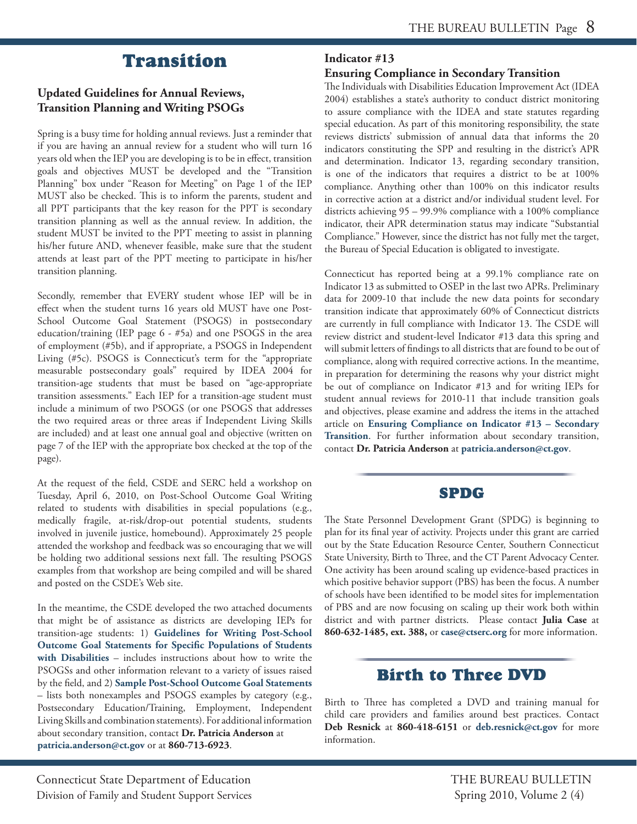## **Transition**

#### **Updated Guidelines for Annual Reviews, Transition Planning and Writing PSOGs**

Spring is a busy time for holding annual reviews. Just a reminder that if you are having an annual review for a student who will turn 16 years old when the IEP you are developing is to be in effect, transition goals and objectives MUST be developed and the "Transition Planning" box under "Reason for Meeting" on Page 1 of the IEP MUST also be checked. This is to inform the parents, student and all PPT participants that the key reason for the PPT is secondary transition planning as well as the annual review. In addition, the student MUST be invited to the PPT meeting to assist in planning his/her future AND, whenever feasible, make sure that the student attends at least part of the PPT meeting to participate in his/her transition planning.

Secondly, remember that EVERY student whose IEP will be in effect when the student turns 16 years old MUST have one Post-School Outcome Goal Statement (PSOGS) in postsecondary education/training (IEP page 6 - #5a) and one PSOGS in the area of employment (#5b), and if appropriate, a PSOGS in Independent Living (#5c). PSOGS is Connecticut's term for the "appropriate measurable postsecondary goals" required by IDEA 2004 for transition-age students that must be based on "age-appropriate transition assessments." Each IEP for a transition-age student must include a minimum of two PSOGS (or one PSOGS that addresses the two required areas or three areas if Independent Living Skills are included) and at least one annual goal and objective (written on page 7 of the IEP with the appropriate box checked at the top of the page).

At the request of the field, CSDE and SERC held a workshop on Tuesday, April 6, 2010, on Post-School Outcome Goal Writing related to students with disabilities in special populations (e.g., medically fragile, at-risk/drop-out potential students, students involved in juvenile justice, homebound). Approximately 25 people attended the workshop and feedback was so encouraging that we will be holding two additional sessions next fall. The resulting PSOGS examples from that workshop are being compiled and will be shared and posted on the CSDE's Web site.

In the meantime, the CSDE developed the two attached documents that might be of assistance as districts are developing IEPs for transition-age students: 1) **Guidelines for Writing Post-School [Outcome Goal Statements for Specific Populations of Students](http://www.ctserc.org/bb/ATT%20p.8%20_1_%20-%20writing%20PSOGS.pdf) with Disabilities** – includes instructions about how to write the PSOGSs and other information relevant to a variety of issues raised by the field, and 2) **[Sample Post-School Outcome Goal Statements](http://www.ctserc.org/bb/ATT%20p.8%20_2_%20-%20PSOGs%20examples&nonexamples.pdf)**  – lists both nonexamples and PSOGS examples by category (e.g., Postsecondary Education/Training, Employment, Independent Living Skills and combination statements). For additional information about secondary transition, contact **Dr. Patricia Anderson** at **[patricia.anderson@ct.gov](mailto:patricia.anderson@ct.gov)** or at **860-713-6923**.

#### **Indicator #13**

#### **Ensuring Compliance in Secondary Transition**

The Individuals with Disabilities Education Improvement Act (IDEA 2004) establishes a state's authority to conduct district monitoring to assure compliance with the IDEA and state statutes regarding special education. As part of this monitoring responsibility, the state reviews districts' submission of annual data that informs the 20 indicators constituting the SPP and resulting in the district's APR and determination. Indicator 13, regarding secondary transition, is one of the indicators that requires a district to be at 100% compliance. Anything other than 100% on this indicator results in corrective action at a district and/or individual student level. For districts achieving 95 – 99.9% compliance with a 100% compliance indicator, their APR determination status may indicate "Substantial Compliance." However, since the district has not fully met the target, the Bureau of Special Education is obligated to investigate.

Connecticut has reported being at a 99.1% compliance rate on Indicator 13 as submitted to OSEP in the last two APRs. Preliminary data for 2009-10 that include the new data points for secondary transition indicate that approximately 60% of Connecticut districts are currently in full compliance with Indicator 13. The CSDE will review district and student-level Indicator #13 data this spring and will submit letters of findings to all districts that are found to be out of compliance, along with required corrective actions. In the meantime, in preparation for determining the reasons why your district might be out of compliance on Indicator #13 and for writing IEPs for student annual reviews for 2010-11 that include transition goals and objectives, please examine and address the items in the attached article on **[Ensuring Compliance on Indicator #13 – Secondary](http://www.ctserc.org/bb/ATT%20p.8%20_3_%20-%20Indicator%2013.pdf)  Transition**. For further information about secondary transition, contact **Dr. Patricia Anderson** at **[patricia.anderson@ct.gov](mailto:patricia.anderson@ct.gov)**.

### **SPDG**

The State Personnel Development Grant (SPDG) is beginning to plan for its final year of activity. Projects under this grant are carried out by the State Education Resource Center, Southern Connecticut State University, Birth to Three, and the CT Parent Advocacy Center. One activity has been around scaling up evidence-based practices in which positive behavior support (PBS) has been the focus. A number of schools have been identified to be model sites for implementation of PBS and are now focusing on scaling up their work both within district and with partner districts. Please contact **Julia Case** at **860-632-1485, ext. 388,** or **[case@ctserc.org](mailto:case@ctserc.org)** for more information.

## **Birth to Three DVD**

Birth to Three has completed a DVD and training manual for child care providers and families around best practices. Contact **Deb Resnick** at **860-418-6151** or **[deb.resnick@ct.gov](mailto:deb.resnick@ct.gov)** for more information.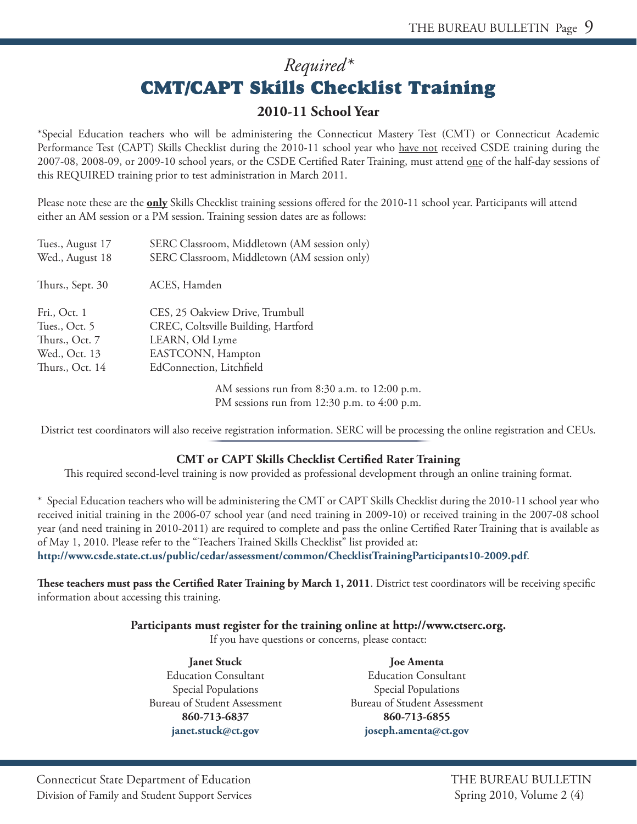## *Required\** **CMT/CAPT Skills Checklist Training**

### **2010-11 School Year**

\*Special Education teachers who will be administering the Connecticut Mastery Test (CMT) or Connecticut Academic Performance Test (CAPT) Skills Checklist during the 2010-11 school year who have not received CSDE training during the 2007-08, 2008-09, or 2009-10 school years, or the CSDE Certified Rater Training, must attend <u>one</u> of the half-day sessions of this REQUIRED training prior to test administration in March 2011.

Please note these are the **only** Skills Checklist training sessions offered for the 2010-11 school year. Participants will attend either an AM session or a PM session. Training session dates are as follows:

| Tues., August 17<br>Wed., August 18 | SERC Classroom, Middletown (AM session only)<br>SERC Classroom, Middletown (AM session only) |
|-------------------------------------|----------------------------------------------------------------------------------------------|
| Thurs., Sept. 30                    | ACES, Hamden                                                                                 |
| Fri., Oct. 1                        | CES, 25 Oakview Drive, Trumbull                                                              |
| Tues., Oct. 5                       | CREC, Coltsville Building, Hartford                                                          |
| Thurs., Oct. 7                      | LEARN, Old Lyme                                                                              |
| Wed., Oct. 13                       | EASTCONN, Hampton                                                                            |
| Thurs., Oct. 14                     | EdConnection, Litchfield                                                                     |
|                                     |                                                                                              |

AM sessions run from 8:30 a.m. to 12:00 p.m. PM sessions run from 12:30 p.m. to 4:00 p.m.

District test coordinators will also receive registration information. SERC will be processing the online registration and CEUs.

#### **CMT or CAPT Skills Checklist Certified Rater Training**

This required second-level training is now provided as professional development through an online training format.

\* Special Education teachers who will be administering the CMT or CAPT Skills Checklist during the 2010-11 school year who received initial training in the 2006-07 school year (and need training in 2009-10) or received training in the 2007-08 school year (and need training in 2010-2011) are required to complete and pass the online Certified Rater Training that is available as of May 1, 2010. Please refer to the "Teachers Trained Skills Checklist" list provided at:

**http://www.csde.state.ct.us/public/cedar/assessment/common/ChecklistTrainingParticipants10-2009.pdf**.

These teachers must pass the Certified Rater Training by March 1, 2011. District test coordinators will be receiving specific information about accessing this training.

#### **Participants must register for the training online at http://www.ctserc.org.**

If you have questions or concerns, please contact:

**Janet Stuck Joe Amenta**  Education Consultant Education Consultant Special Populations Special Populations Bureau of Student Assessment Bureau of Student Assessment **860-713-6837 860-713-6855** 

**janet.stuck@ct.gov joseph.amenta@ct.gov**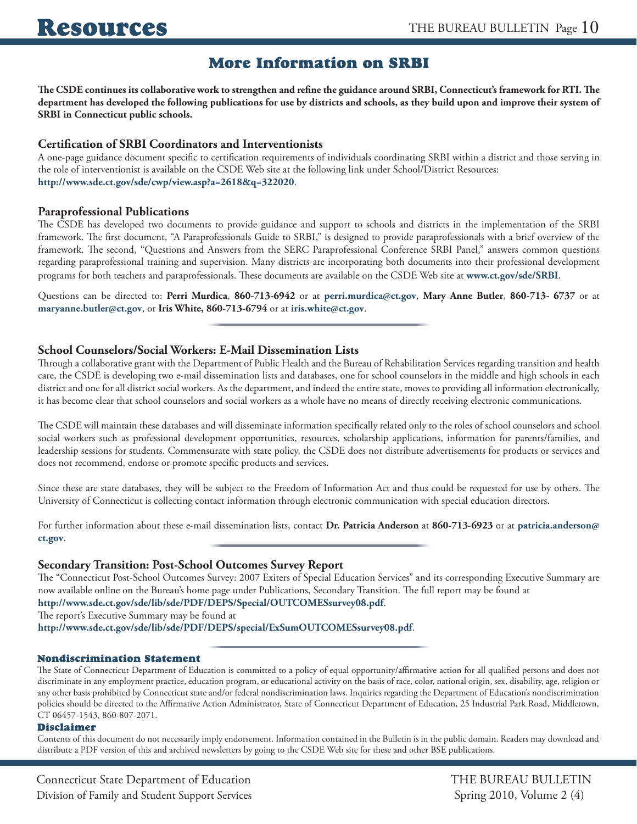## **More Information on SRBI**

The CSDE continues its collaborative work to strengthen and refine the guidance around SRBI, Connecticut's framework for RTI. The **department has developed the following publications for use by districts and schools, as they build upon and improve their system of SRBI in Connecticut public schools.** 

#### **Certification of SRBI Coordinators and Interventionists**

A one-page guidance document specific to certification requirements of individuals coordinating SRBI within a district and those serving in the role of interventionist is available on the CSDE Web site at the following link under School/District Resources: **http://www.sde.ct.gov/sde/cwp/view.asp?a=2618&q=322020**.

#### **Paraprofessional Publications**

The CSDE has developed two documents to provide guidance and support to schools and districts in the implementation of the SRBI framework. The first document, "A Paraprofessionals Guide to SRBI," is designed to provide paraprofessionals with a brief overview of the framework. The second, "Questions and Answers from the SERC Paraprofessional Conference SRBI Panel," answers common questions regarding paraprofessional training and supervision. Many districts are incorporating both documents into their professional development programs for both teachers and paraprofessionals. These documents are available on the CSDE Web site at **www.ct.gov/sde/SRBI**.

Questions can be directed to: **Perri Murdica**, **860-713-6942** or at **perri.murdica@ct.gov**, **Mary Anne Butler**, **860-713- 6737** or at **maryanne.butler@ct.gov**, or **Iris White, 860-713-6794** or at **iris.white@ct.gov**.

#### **School Counselors/Social Workers: E-Mail Dissemination Lists**

Through a collaborative grant with the Department of Public Health and the Bureau of Rehabilitation Services regarding transition and health care, the CSDE is developing two e-mail dissemination lists and databases, one for school counselors in the middle and high schools in each district and one for all district social workers. As the department, and indeed the entire state, moves to providing all information electronically, it has become clear that school counselors and social workers as a whole have no means of directly receiving electronic communications.

The CSDE will maintain these databases and will disseminate information specifically related only to the roles of school counselors and school social workers such as professional development opportunities, resources, scholarship applications, information for parents/families, and leadership sessions for students. Commensurate with state policy, the CSDE does not distribute advertisements for products or services and does not recommend, endorse or promote specific products and services.

Since these are state databases, they will be subject to the Freedom of Information Act and thus could be requested for use by others. The University of Connecticut is collecting contact information through electronic communication with special education directors.

For further information about these e-mail dissemination lists, contact **Dr. Patricia Anderson** at **860-713-6923** or at **[patricia.anderson@](mailto:patricia.anderson@ct.gov)  [ct.gov](mailto:patricia.anderson@ct.gov)**.

#### **Secondary Transition: Post-School Outcomes Survey Report**

The "Connecticut Post-School Outcomes Survey: 2007 Exiters of Special Education Services" and its corresponding Executive Summary are now available online on the Bureau's home page under Publications, Secondary Transition. The full report may be found at **http://www.sde.ct.gov/sde/lib/sde/PDF/DEPS/Special/OUTCOMESsurvey08.pdf**.

The report's Executive Summary may be found at

**http://www.sde.ct.gov/sde/lib/sde/PDF/DEPS/special/ExSumOUTCOMESsurvey08.pdf**.

#### **Nondiscrimination Statement**

 The State of Connecticut Department of Education is committed to a policy of equal opportunity/affirmative action for all qualified persons and does not discriminate in any employment practice, education program, or educational activity on the basis of race, color, national origin, sex, disability, age, religion or any other basis prohibited by Connecticut state and/or federal nondiscrimination laws. Inquiries regarding the Department of Education's nondiscrimination policies should be directed to the Affirmative Action Administrator, State of Connecticut Department of Education, 25 Industrial Park Road, Middletown, CT 06457-1543, 860-807-2071.

#### **Disclaimer**

Contents of this document do not necessarily imply endorsement. Information contained in the Bulletin is in the public domain. Readers may download and distribute a PDF version of this and archived newsletters by going to the CSDE Web site for these and other BSE publications.